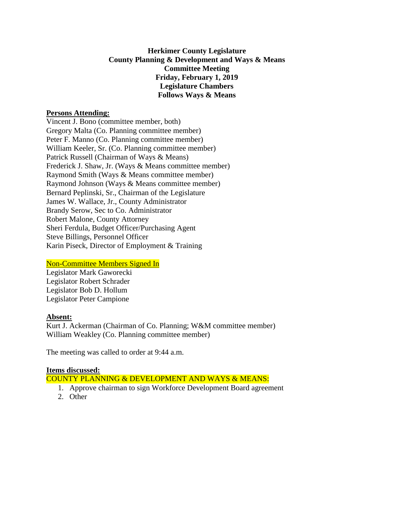# **Herkimer County Legislature County Planning & Development and Ways & Means Committee Meeting Friday, February 1, 2019 Legislature Chambers Follows Ways & Means**

#### **Persons Attending:**

Vincent J. Bono (committee member, both) Gregory Malta (Co. Planning committee member) Peter F. Manno (Co. Planning committee member) William Keeler, Sr. (Co. Planning committee member) Patrick Russell (Chairman of Ways & Means) Frederick J. Shaw, Jr. (Ways & Means committee member) Raymond Smith (Ways & Means committee member) Raymond Johnson (Ways & Means committee member) Bernard Peplinski, Sr., Chairman of the Legislature James W. Wallace, Jr., County Administrator Brandy Serow, Sec to Co. Administrator Robert Malone, County Attorney Sheri Ferdula, Budget Officer/Purchasing Agent Steve Billings, Personnel Officer Karin Piseck, Director of Employment & Training

# Non-Committee Members Signed In

Legislator Mark Gaworecki Legislator Robert Schrader Legislator Bob D. Hollum Legislator Peter Campione

# **Absent:**

Kurt J. Ackerman (Chairman of Co. Planning; W&M committee member) William Weakley (Co. Planning committee member)

The meeting was called to order at 9:44 a.m.

# **Items discussed:**

COUNTY PLANNING & DEVELOPMENT AND WAYS & MEANS:

- 1. Approve chairman to sign Workforce Development Board agreement
- 2. Other